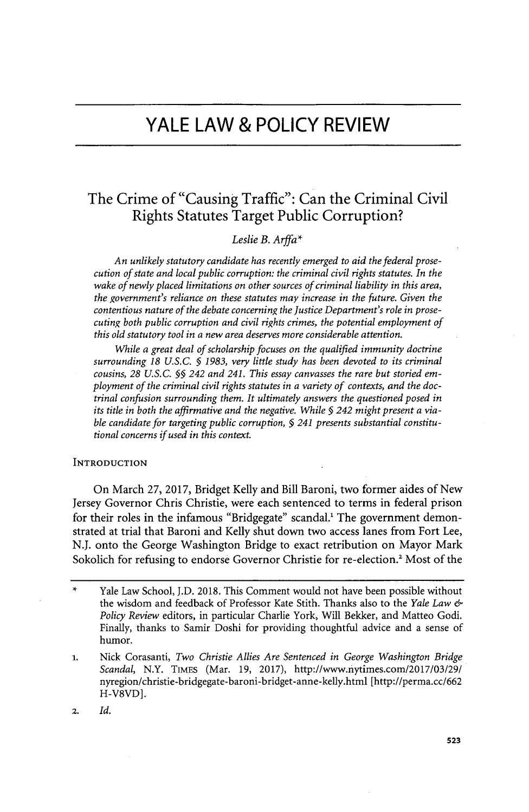# **YALE LAW & POLICY REVIEW**

# The Crime of "Causing Traffic": Can the Criminal Civil Rights Statutes Target Public Corruption?

# *Leslie B. Arffa\**

*An unlikely statutory candidate has recently emerged to aid the federal prosecution of state and local public corruption: the criminal civil rights statutes. In the wake of newly placed limitations on other sources of criminal liability in this area, the government's reliance on these statutes may increase in the future. Given the contentious nature of the debate concerning the Justice Department's role in prosecuting both public corruption and civil rights crimes, the potential employment of this old statutory tool in a new area deserves more considerable attention.*

*While a great deal of scholarship focuses on the qualified immunity doctrine surrounding 18 U.S.C. § 1983, very little study has been devoted to its criminal cousins, 28 U.S.C. §§ 242 and 241. This essay canvasses the rare but storied employment of the criminal civil rights statutes in a variety of contexts, and the doctrinal confusion surrounding them. It ultimately answers the questioned posed in its title in both the affirmative and the negative. While § 242 might present a viable candidate for targeting public corruption, § 241 presents substantial constitutional concerns if used in this context.*

## **INTRODUCTION**

On March **27, 2017,** Bridget Kelly and Bill Baroni, two former aides of New Jersey Governor Chris Christie, were each sentenced to terms in federal prison for their roles in the infamous "Bridgegate" scandal.' The government demonstrated at trial that Baroni and Kelly shut down two access lanes from Fort Lee, **N.J.** onto the George Washington Bridge to exact retribution on Mayor Mark Sokolich for refusing to endorse Governor Christie for re-election.' Most of the

**2.** *Id.*

Yale Law School, J.D. 2018. This Comment would not have been possible without the wisdom and feedback of Professor Kate Stith. Thanks also to the *Yale Law Policy Review* editors, in particular Charlie York, Will Bekker, and Matteo Godi. Finally, thanks to Samir Doshi for providing thoughtful advice and a sense of humor.

**<sup>1.</sup> Nick Corasanti,** *Two Christie Allies Are Sentenced in George Washington Bridge Scandal,* N.Y. TIMES (Mar. **19, 2017),** http://www.nytimes.com/2017/03/29/ nyregion/christie-bridgegate-baroni-bridget-anne-kelly.html [http://perma.cc/662 H-V8VD].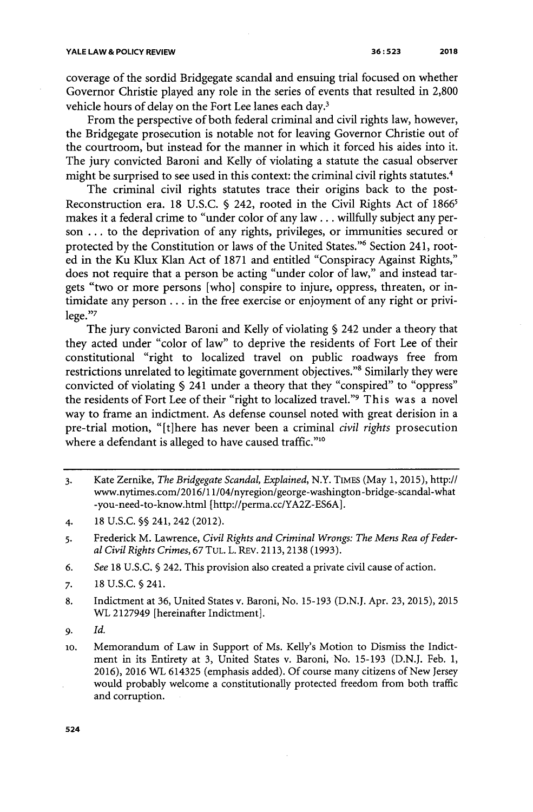coverage of the sordid Bridgegate scandal and ensuing trial focused on whether Governor Christie played any role in the series of events that resulted in **2,800** vehicle hours of delay on the Fort Lee lanes each day.<sup>3</sup>

From the perspective of both federal criminal and civil rights law, however, the Bridgegate prosecution is notable not for leaving Governor Christie out of the courtroom, but instead for the manner in which it forced his aides into it. The jury convicted Baroni and **Kelly** of violating a statute the casual observer might be surprised to see used in this context: the criminal civil rights statutes.<sup>4</sup>

The criminal civil rights statutes trace their origins back to the post-Reconstruction era. 18 U.S.C. § 242, rooted in the Civil Rights Act of 1866<sup>5</sup> makes it a federal crime to "under color of any law **...** willfully subject any person **...** to the deprivation of any rights, privileges, or immunities secured or protected by the Constitution or laws of the United States."<sup>6</sup> Section 241, rooted in the Ku Klux Klan Act of **1871** and entitled "Conspiracy Against Rights," does not require that a person be acting "under color **of** law," and instead targets "two or more persons [who] conspire to injure, oppress, threaten, or intimidate any person **...** in the free exercise or enjoyment of any right or privilege."<sup>7</sup>

The jury convicted Baroni and Kelly of violating **§** 242 under a theory that they acted under "color of law" to deprive the residents of Fort Lee of their constitutional "right to localized travel on public roadways free from restrictions unrelated to legitimate government objectives."<sup>8</sup> Similarly they were convicted of violating **§** 241 under a theory that they "conspired" to "oppress" the residents of Fort Lee of their "right to localized travel." This was a novel way to frame an indictment. As defense counsel noted with great derision in a pre-trial motion, "[t]here has never been a criminal *civil rights* prosecution where a defendant is alleged to have caused traffic."<sup>10</sup>

*<sup>3.</sup>* Kate Zernike, *The Bridgegate Scandal, Explained,* N.Y. TIMES (May **1, 2015),** http:// www.nytimes.com/2016/11/04/nyregion/george-washington-bridge-scandal-what -you-need-to-know.html *[http://perma.cc/YA2Z-ES6A].*

<sup>4.</sup> **18 U.S.C. §§** 241, 242 (2012).

*<sup>5.</sup>* Frederick M. Lawrence, *Civil Rights and Criminal Wrongs: The Mens Rea of Federal Civil Rights Crimes, 67* **TUL.** L. REv. **2113, 2138 (1993).**

**<sup>6.</sup>** *See* **18 U.S.C. §** 242. This provision also created a private civil cause of action.

**<sup>7.</sup> 18 U.S.C. §** 241.

**<sup>8.</sup>** Indictment at **36,** United States v. Baroni, No. **15-193 (D.N.J.** Apr. **23, 2015), 2015** WL **2127949** [hereinafter Indictment].

*<sup>9.</sup> Id.*

**<sup>1</sup>o.** Memorandum of Law in Support of Ms. Kelly's Motion to Dismiss the Indictment in its Entirety at **3,** United States v. Baroni, No. **15-193 (D.N.J.** Feb. **1, 2016), 2016** WL **614325** (emphasis added). **Of** course many citizens of New Jersey would probably welcome a constitutionally protected freedom from both traffic and corruption.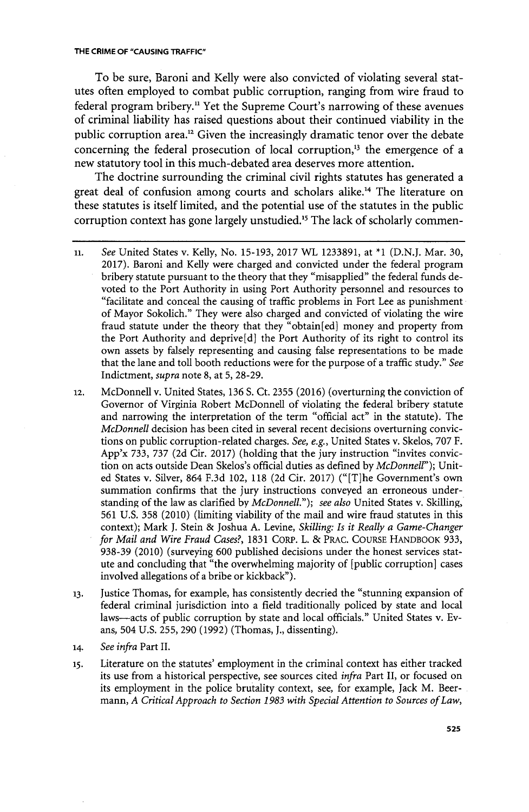To be sure, Baroni and Kelly were also convicted of violating several statutes often employed to combat public corruption, ranging from wire fraud to federal program bribery." Yet the Supreme Court's narrowing of these avenues of criminal liability has raised questions about their continued viability in the public corruption area." Given the increasingly dramatic tenor over the debate concerning the federal prosecution of local corruption, $<sup>3</sup>$  the emergence of a</sup> new statutory tool in this much-debated area deserves more attention.

The doctrine surrounding the criminal civil rights statutes has generated a great deal of confusion among courts and scholars alike.<sup>14</sup> The literature on these statutes is itself limited, and the potential use of the statutes in the public corruption context has gone largely unstudied.<sup>15</sup> The lack of scholarly commen-

- **12.** McDonnell v. United States, **136 S.** Ct. **2355 (2016)** (overturning the conviction of Governor of Virginia Robert McDonnell of violating the federal bribery statute and narrowing the interpretation of the term "official act" in the statute). The *McDonnell* decision has been cited in several recent decisions overturning convictions on public corruption-related charges. *See, e.g.,* United States v. Skelos, **707** F. App'x **733, 737 (2d** Cir. **2017)** (holding that the jury instruction "invites conviction on acts outside Dean Skelos's official duties as defined **by** *McDonnell");* United States v. Silver, 864 **F.3d** 102, **118 (2d** Cir. **2017)** ("[T~he Government's own summation confirms that the jury instructions conveyed an erroneous understanding of the law as clarified **by** *McDonnell."); see also* United States v. Skilling, **561 U.S. 358** (2010) (limiting viability of the mail and wire fraud statutes in this context); Mark **J.** Stein **&** Joshua **A.** Levine, *Skilling: Is it Really a Game-Changer for Mail and Wire Fraud Cases?,* **1831** CORP. L. **&** PRAC. **COURSE** HANDBOOK **933, 938-39** (2010) (surveying **600** published decisions under the honest services statute and concluding that "the overwhelming majority of [public corruption] cases involved allegations of a bribe or kickback").
- *13.* Justice Thomas, for example, has consistently decried the "stunning expansion of federal criminal jurisdiction into a field traditionally policed **by** state and local laws-acts of public corruption **by** state and local officials." United States v. Evans, 504 **U.S. 255, 290 (1992)** (Thomas, **J.,** dissenting).
- **14.** *See infra* Part II.
- **15.** Literature on the statutes' employment in the criminal context has either tracked its use from a historical perspective, see sources cited *infra* Part II, or focused on its employment in the police brutality context, see, for example, Jack M. Beermann, *A Critical Approach to Section 1983 with Special Attention to Sources of Law,*

**nt.** *See* United States v. Kelly, No. **15-193, 2017** WL **1233891,** at **\*1 (D.N.J.** Mar. **30, 2017).** Baroni and Kelly were charged and convicted under the federal program bribery statute pursuant to the theory that they "misapplied" the federal funds devoted to the Port Authority in using Port Authority personnel and resources to "facilitate and conceal the causing of traffic problems in Fort Lee as punishment of Mayor Sokolich." They were also charged and convicted of violating the wire fraud statute under the theory that they "obtain[ed] money and property from the Port Authority and deprive  $[d]$  the Port Authority of its right to control its own assets **by** falsely representing and causing false representations to be made that the lane and toll booth reductions were for the purpose of a traffic study." *See* Indictment, *supra* note **8,** at **5, 28-29.**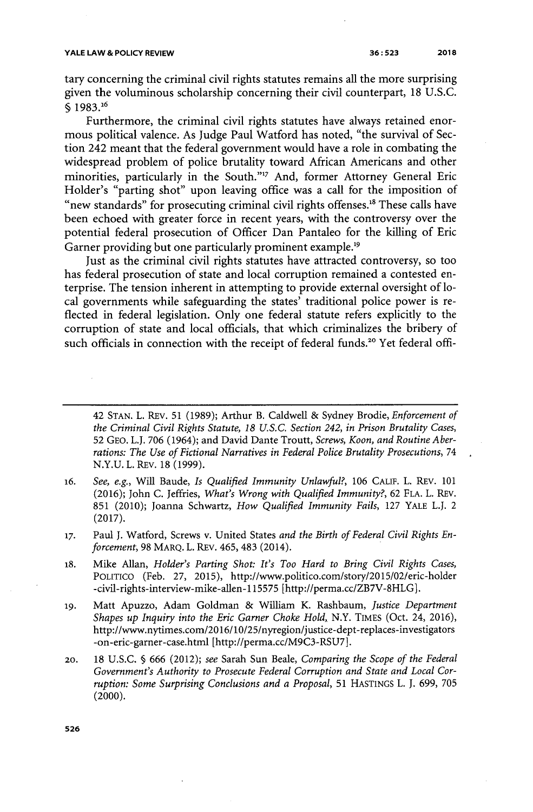tary concerning the criminal civil rights statutes remains all the more surprising given the voluminous scholarship concerning their civil counterpart, **18 U.S.C. § 1983.6**

Furthermore, the criminal civil rights statutes have always retained enormous political valence. As Judge Paul Watford has noted, "the survival of Section 242 meant that the federal government would have a role in combating the widespread problem of police brutality toward African Americans and other minorities, particularly in the South."" And, former Attorney General Eric Holder's "parting shot" upon leaving office was a call for the imposition of "new standards" for prosecuting criminal civil rights offenses." These calls have been echoed with greater force in recent years, with the controversy over the potential federal prosecution of Officer Dan Pantaleo for the killing of Eric Garner providing but one particularly prominent example.<sup>19</sup>

Just as the criminal civil rights statutes have attracted controversy, **so** too has federal prosecution of state and local corruption remained a contested enterprise. The tension inherent in attempting to provide external oversight of local governments while safeguarding the states' traditional police power is reflected in federal legislation. Only one federal statute refers explicitly to the corruption of state and local officials, that which criminalizes the bribery of such officials in connection with the receipt of federal funds.<sup>20</sup> Yet federal offi-

42 **STAN.** L. REv. **51 (1989);** Arthur B. Caldwell **&** Sydney Brodie, *Enforcement of the Criminal Civil Rights Statute, 18 U.S.C. Section 242, in Prison Brutality Cases,* **52 GEO.** L.J. **706** (1964); and David Dante Troutt, *Screws, Koon, and Routine Aberrations: The Use of Fictional Narratives in Federal Police Brutality Prosecutions, 74* **N.Y.U.** L. REv. **18 (1999).**

- *16. See, e.g.,* Will Baude, *Is Qualified Immunity Unlawful?,* **106** CALF. L. REv. **101 (2016);** John *C.* Jeffries, *What's Wrong with Qualified Immunity?,* **62 FLA.** L. REV. **851** (2010); Joanna Schwartz, *How Qualified Immunity Fails,* **127** YALE L.J. 2 **(2017).**
- *17.* Paul **J.** Watford, Screws v. United States *and the Birth of Federal Civil Rights Enforcement,* **98** MARQ. L. REv. 465, 483 (2014).
- **18.** Mike Allan, *Holder's Parting Shot: It's Too Hard to Bring Civil Rights Cases,* POLITICO (Feb. **27, 2015),** http://www.politico.com/story/2015/02/eric-holder -civil-rights-interview-mike-allen-115575 *[http://perma.cc/ZB7V-8HLG].*
- **19.** Matt Apuzzo, Adam Goldman **&** William K. Rashbaum, *Justice Department Shapes up Inquiry into the Eric Garner Choke Hold,* N.Y. **TIMES** (Oct. 24, **2016),** http://www.nytimes.com/2016/10/25/nyregion/justice-dept-replaces-investigators -on-eric-garner-case.html [http://perma.cc/M9C3-RSU7].
- 20. **18 U.S.C. § 666** (2012); *see* Sarah Sun Beale, *Comparing the Scope of the Federal Government's Authority to Prosecute Federal Corruption and State and Local Corruption: Some Surprising Conclusions and a Proposal,* **51** HASTINGS L. **J. 699, 705** (2000).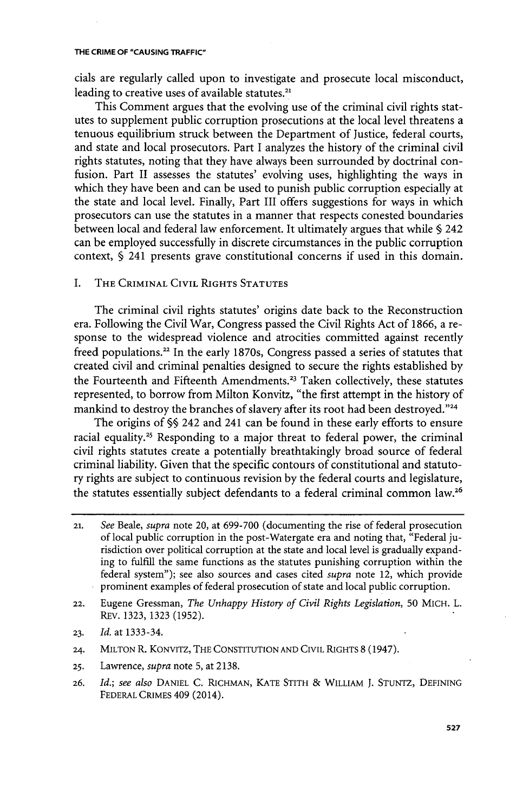cials are regularly called upon to investigate and prosecute local misconduct, leading to creative uses of available statutes. $21$ 

This Comment argues that the evolving use of the criminal civil rights statutes to supplement public corruption prosecutions at the local level threatens a tenuous equilibrium struck between the Department of Justice, federal courts, and state and local prosecutors. Part I analyzes the history of the criminal civil rights statutes, noting that they have always been surrounded **by** doctrinal confusion. Part II assesses the statutes' evolving uses, highlighting the ways in which they have been and can be used to punish public corruption especially at the state and local level. Finally, Part III offers suggestions for ways in which prosecutors can use the statutes in a manner that respects conested boundaries between local and federal law enforcement. It ultimately argues that while **§** 242 can be employed successfully in discrete circumstances in the public corruption context, **§** 241 presents grave constitutional concerns if used in this domain.

# I. THE CRIMINAL CIVIL RIGHTS **STATUTES**

The criminal civil rights statutes' origins date back to the Reconstruction era. Following the Civil War, Congress passed the Civil Rights Act of **1866,** a response to the widespread violence and atrocities committed against recently freed populations.<sup>22</sup> In the early 1870s, Congress passed a series of statutes that created civil and criminal penalties designed to secure the rights established **by** the Fourteenth and Fifteenth Amendments.<sup>23</sup> Taken collectively, these statutes represented, to borrow from Milton Konvitz, "the first attempt in the history of mankind to destroy the branches of slavery after its root had been destroyed."<sup>24</sup>

The origins of **§§** 242 and 241 can be found in these early efforts to ensure racial equality.<sup>25</sup> Responding to a major threat to federal power, the criminal civil rights statutes create a potentially breathtakingly broad source of federal criminal liability. Given that the specific contours of constitutional and statutory rights are subject to continuous revision **by** the federal courts and legislature, the statutes essentially subject defendants to a federal criminal common law.<sup>26</sup>

- **22.** Eugene Gressman, *The Unhappy History of Civil Rights Legislation,* **50** MICH. L. REV. **1323, 1323 (1952).**
- **23.** *Id.* at **1333-34.**
- **24. MILTON** R. KoNvITz, THE **CONSTITUTION AND** CIVIL RIGHTS **8** (1947).
- **25.** Lawrence, *supra* note **5,** at **2138.**
- **26.** *Id.; see also* **DANIEL C. RICHMAN,** KATE STITH **& WILLIAM J.** STuNTz, **DEFINING** FEDERAL **CRIMES** 409 (2014).

**<sup>21.</sup>** *See Beale, supra* note 20, at **699-700** (documenting the rise of federal prosecution of local public corruption in the post-Watergate era and noting that, "Federal jurisdiction over political corruption at the state and local level is gradually expanding to fulfill the same functions as the statutes punishing corruption within the federal system"); see also sources and cases cited *supra* note 12, which provide prominent examples of federal prosecution of state and local public corruption.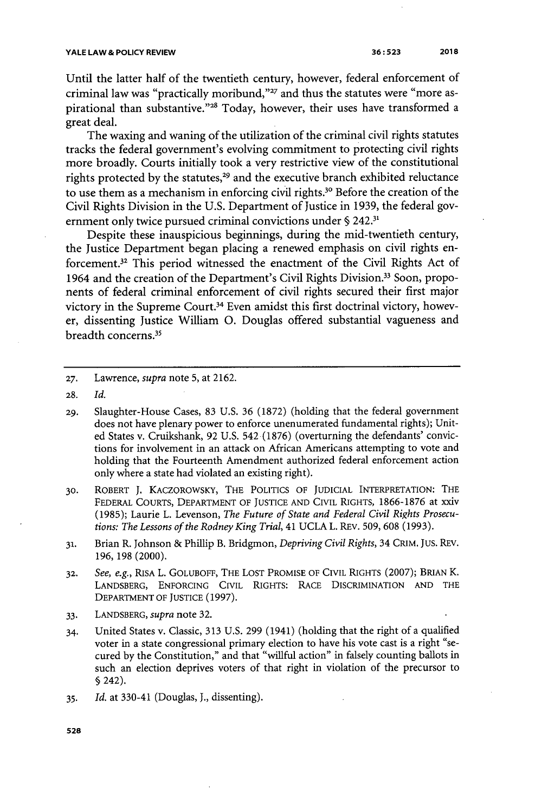Until the latter half of the twentieth century, however, federal enforcement of criminal law was "practically moribund,"<sup>27</sup> and thus the statutes were "more aspirational than substantive."<sup>28</sup> Today, however, their uses have transformed a great deal.

The waxing and waning of the utilization of the criminal civil rights statutes tracks the federal government's evolving commitment to protecting civil rights more broadly. Courts initially took a very restrictive view of the constitutional rights protected by the statutes,<sup>29</sup> and the executive branch exhibited reluctance to use them as a mechanism in enforcing civil rights.<sup>30</sup> Before the creation of the Civil Rights Division in the **U.S.** Department of Justice in **1939,** the federal government only twice pursued criminal convictions under **§ 242.31**

Despite these inauspicious beginnings, during the mid-twentieth century, the Justice Department began placing a renewed emphasis on civil rights enforcement.<sup>32</sup> This period witnessed the enactment of the Civil Rights Act of 1964 and the creation of the Department's Civil Rights Division.<sup>33</sup> Soon, proponents of federal criminal enforcement of civil rights secured their first major victory in the Supreme Court.<sup>34</sup> Even amidst this first doctrinal victory, however, dissenting Justice William **0.** Douglas offered substantial vagueness and breadth concerns.<sup>35</sup>

**27.** Lawrence, *supra* note **5,** at **2162.**

- **29.** Slaughter-House Cases, **83 U.S. 36 (1872)** (holding that the federal government does not have plenary power to enforce unenumerated fundamental rights); United States v. Cruikshank, **92 U.S.** 542 **(1876)** (overturning the defendants' convictions for involvement in an attack on African Americans attempting to vote and holding that the Fourteenth Amendment authorized federal enforcement action only where a state had violated an existing right).
- **30.** ROBERT **J.** KACZOROWSKY, THE POLITICS OF **JUDICIAL** INTERPRETATION: **THE** FEDERAL COURTS, DEPARTMENT OF **JUSTICE AND** CIvIL **RIGHTS, 1866-1876** at xxiv **(1985);** Laurie L. Levenson, *The Future of State and Federal Civil Rights Prosecutions: The Lessons of the Rodney King Trial,* 41 **UCLA** L. REv. **509, 608 (1993).**
- **31.** Brian R. Johnson **&** Phillip B. Bridgmon, *Depriving Civil Rights,* 34 CRIM. Jus. REV. **196, 198** (2000).
- **32.** *See, e.g.,* RISA L. GOLUBOFF, THE **LOST** PROMISE OF CIvIL RIGHTS **(2007);** BRIAN K. **LANDSBERG, ENFORCING CIVIL** RIGHTS: RACE DISCRIMINATION **AND** THE DEPARTMENT OF JUSTICE **(1997).**
- *33.* **LANDSBERG,** *supra* note **32.**
- 34. United States v. Classic, **313 U.S. 299** (1941) (holding that the right of a qualified voter in a state congressional primary election to have his vote cast is a right "secured **by** the Constitution," and that "willful action" in falsely counting ballots in such an election deprives voters of that right in violation of the precursor to **§** 242).
- **35.** *Id.* at 330-41 (Douglas, **J.,** dissenting).

**<sup>28.</sup>** *Id.*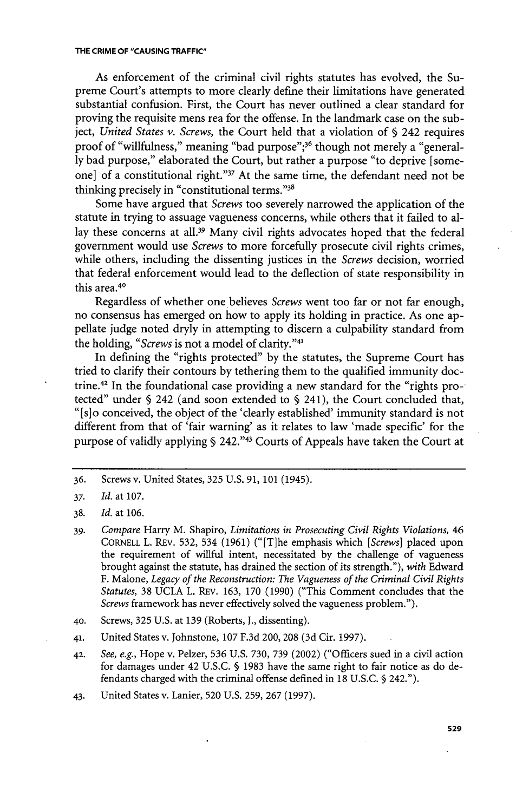As enforcement of the criminal civil rights statutes has evolved, the Supreme Court's attempts to more clearly define their limitations have generated substantial confusion. First, the Court has never outlined a clear standard for proving the requisite mens rea for the offense. In the landmark case on the subject, *United States v. Screws,* the Court held that a violation of **§** 242 requires proof of "willfulness," meaning "bad purpose";<sup>36</sup> though not merely a "general**ly** bad purpose," elaborated the Court, but rather a purpose "to deprive [someone] of a constitutional right."<sup>37</sup> At the same time, the defendant need not be thinking precisely in "constitutional terms."3<sup>8</sup>

Some have argued that *Screws* too severely narrowed the application of the statute in trying to assuage vagueness concerns, while others that it failed to allay these concerns at all.<sup>39</sup> Many civil rights advocates hoped that the federal government would use *Screws* to more forcefully prosecute civil rights crimes, while others, including the dissenting justices in the *Screws* decision, worried that federal enforcement would lead to the deflection of state responsibility in this area.<sup>40</sup>

Regardless of whether one believes *Screws* went too far or not far enough, no consensus has emerged on how to apply its holding in practice. As one appellate judge noted dryly in attempting to discern a culpability standard from the holding, "*Screws* is not a model of clarity."<sup>41</sup>

In defining the "rights protected" **by** the statutes, the Supreme Court has tried to clarify their contours **by** tethering them to the qualified immunity doctrine.<sup>42</sup> In the foundational case providing a new standard for the "rights protected" under **§** 242 (and soon extended to **§** 241), the Court concluded that, "[slo conceived, the object of the 'clearly established' immunity standard is not different from that of 'fair warning' as it relates to law 'made specific' for the purpose of validly applying **§** 242."41 Courts of Appeals have taken the Court at

*<sup>36.</sup>* Screws v. United States, **325 U.S. 91, 101** (1945).

*<sup>37.</sup> Id.* at **107.**

**<sup>38.</sup>** *Id.* at **106.**

**<sup>39.</sup>** *Compare* Harry M. Shapiro, *Limitations in Prosecuting Civil Rights Violations, 46* CORNELL L. REv. **532,** 534 **(1961)** ("[T]he emphasis which *[Screws]* placed upon the requirement of willful intent, necessitated **by** the challenge of vagueness brought against the statute, has drained the section of its strength."), *with* Edward F. Malone, *Legacy of the Reconstruction: The Vagueness of the Criminal Civil Rights Statutes,* **38 UCLA** L. REv. **163, 170 (1990)** ("This Comment concludes that the *Screws* framework has never effectively solved the vagueness problem.").

**<sup>40.</sup>** Screws, **325 U.S.** at **139** (Roberts, **J.,** dissenting).

**<sup>41.</sup>** United States v. Johnstone, **107 F.3d** 200, **208 (3d** Cir. **1997).**

**<sup>42.</sup>** *See, e.g.,* Hope v. Pelzer, **536 U.S. 730, 739** (2002) ("Officers sued in a civil action for damages under 42 **U.S.C. § 1983** have the same right to fair notice as do defendants charged with the criminal offense defined in **18 U.S.C. §** 242.").

<sup>43.</sup> United States v. Lanier, **520 U.S. 259, 267 (1997).**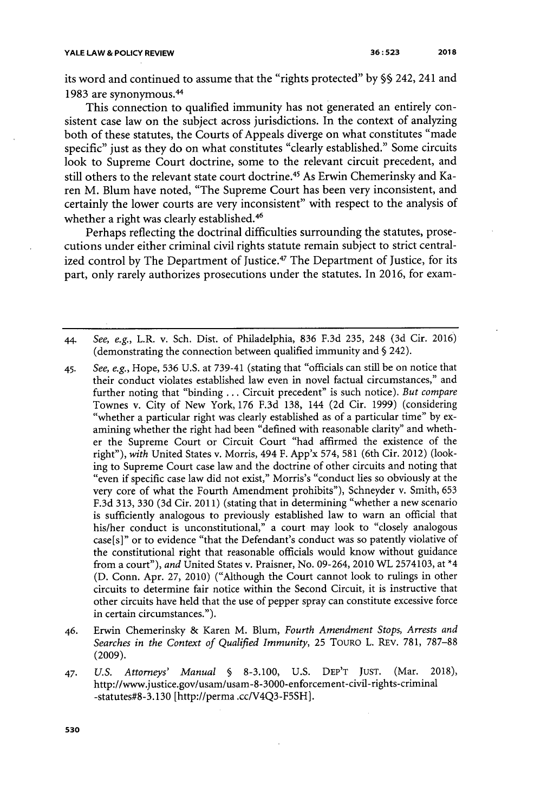its word and continued to assume that the "rights protected" **by §§** 242, 241 and 1983 are synonymous.<sup>44</sup>

This connection to qualified immunity has not generated an entirely consistent case law on the subject across jurisdictions. In the context of analyzing both of these statutes, the Courts of Appeals diverge on what constitutes "made specific" just as they do on what constitutes "clearly established." Some circuits look to Supreme Court doctrine, some to the relevant circuit precedent, and still others to the relevant state court doctrine.<sup>45</sup> As Erwin Chemerinsky and Karen M. Blum have noted, "The Supreme Court has been very inconsistent, and certainly the lower courts are very inconsistent" with respect to the analysis of whether a right was clearly established.<sup>46</sup>

Perhaps reflecting the doctrinal difficulties surrounding the statutes, prosecutions under either criminal civil rights statute remain subject to strict centralized control by The Department of Justice.<sup>47</sup> The Department of Justice, for its part, only rarely authorizes prosecutions under the statutes. In **2016,** for exam-

- 44. *See, e.g.,* L.R. v. Sch. Dist. of Philadelphia, **836 F.3d 235,** 248 **(3d** Cir. 2016) (demonstrating the connection between qualified immunity and **§** 242).
- 45. *See, e.g.,* Hope, **536 U.S.** at **739-41** (stating that "officials can still be on notice that their conduct violates established law even in novel factual circumstances," and further noting that "binding **...** Circuit precedent" is such notice). *But compare* Townes v. City of New York, **176 F.3d 138,** 144 **(2d** Cir. **1999)** (considering "whether a particular right was clearly established as of a particular time" **by** examining whether the right had been "defined with reasonable clarity" and whether the Supreme Court or Circuit Court "had affirmed the existence of the right"), *with* United States v. Morris, 494 F. App'x 574, **581** (6th Cir. 2012) (looking to Supreme Court case law and the doctrine of other circuits and noting that "even if specific case law did not exist," Morris's "conduct lies so obviously at the very core of what the Fourth Amendment prohibits"), Schneyder v. Smith, **653 F.3d 313, 330 (3d** Cir. **2011)** (stating that in determining "whether a new scenario is sufficiently analogous to previously established law to warn an official that his/her conduct is unconstitutional," a court may look to "closely analogous case[s]" or to evidence "that the Defendant's conduct was so patently violative of the constitutional right that reasonable officials would know without guidance from a court"), *and* United States v. Praisner, No. 09-264, 2010 WL **2574103,** at \*4 **(D.** Conn. Apr. **27,** 2010) ("Although the Court cannot look to rulings in other circuits to determine fair notice within the Second Circuit, it is instructive that other circuits have held that the use of pepper spray can constitute excessive force in certain circumstances.").
- 46. Erwin Chemerinsky **&** Karen M. Blum, *Fourth Amendment Stops, Arrests and Searches in the Context of Qualified Immunity,* **25** TOURo L. REv. **781, 787-88 (2009).**
- 47. *U.S. Attorneys' Manual §* **8-3.100, U.S.** DEP'T **JUST.** (Mar. **2018),** http://www.justice.gov/usam/usam-8-3000-enforcement-civil-rights-criminal -statutes#8-3.130 [http://perma .cc/V4Q3-F5SH].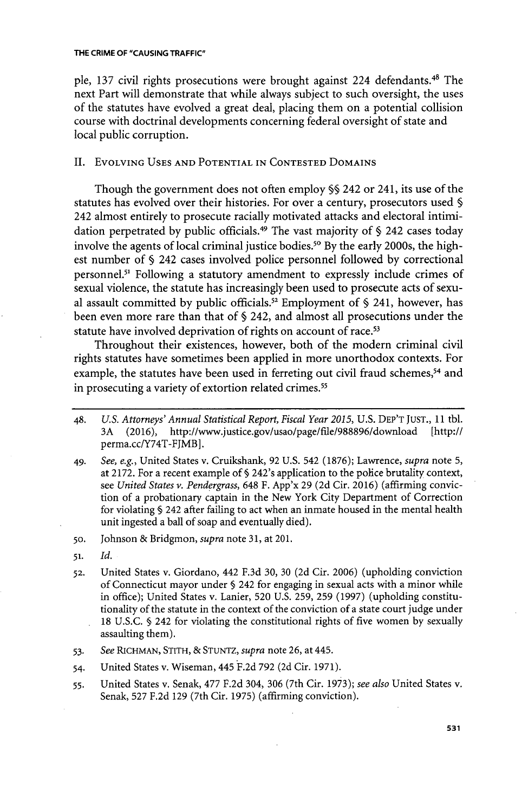ple, 137 civil rights prosecutions were brought against 224 defendants.<sup>48</sup> The next Part will demonstrate that while always subject to such oversight, the uses of the statutes have evolved a great deal, placing them on a potential collision course with doctrinal developments concerning federal oversight of state and local public corruption.

# II. EVOLVING **USES AND** POTENTIAL **IN CONTESTED** DOMAINS

Though the government does not often employ **§5** 242 or 241, its use of the statutes has evolved over their histories. For over a century, prosecutors used **§** 242 almost entirely to prosecute racially motivated attacks and electoral intimidation perpetrated **by** public officials. <sup>49</sup>The vast majority of **§** 242 cases today involve the agents of local criminal justice bodies."o **By** the early 2000s, the highest number of **§** 242 cases involved police personnel followed **by** correctional personnel.<sup>51</sup> Following a statutory amendment to expressly include crimes of sexual violence, the statute has increasingly been used to prosecute acts of sexual assault committed **by** public officials.<sup>52</sup>Employment of **§** 241, however, has been even more rare than that of **§** 242, and almost all prosecutions under the statute have involved deprivation of rights on account of race.<sup>53</sup>

Throughout their existences, however, both of the modern criminal civil rights statutes have sometimes been applied in more unorthodox contexts. For example, the statutes have been used in ferreting out civil fraud schemes,<sup>54</sup> and in prosecuting a variety of extortion related crimes.<sup>55</sup>

- 48. *U.S. Attorneys' Annual Statistical Report, Fiscal Year 2015,* **U.S.** DEP'T **JUST., 11** tbl. **3A (2016),** http://www.justice.gov/usaolpage/file/988896/download [http:// perma.cc/Y74T-FJMB].
- 49. *See, e.g.,* United States v. Cruikshank, **92 U.S.** 542 **(1876);** Lawrence, *supra* note **5,** at **2172.** For a recent example of **§** 242's application to the police brutality context, *see United States v. Pendergrass,* 648 F. App'x **29 (2d** Cir. **2016)** (affirming conviction of a probationary captain in the New York City Department of Correction for violating **§** 242 after failing to act when an inmate housed in the mental health unit ingested a ball of soap and eventually died).

**50.** Johnson **&** Bridgmon, *supra* note **31,** at **201.**

- **51.** *Id.*
- **52.** United States v. Giordano, 442 **F.3d 30, 30 (2d** Cir. **2006)** (upholding conviction of Connecticut mayor under 5 242 for engaging in sexual acts with a minor while in office); United States v. Lanier, **520 U.S. 259, 259 (1997)** (upholding constitutionality of the statute in the context of the conviction of a state court judge under **18 U.S.C. §** 242 for violating the constitutional rights of five women **by** sexually assaulting them).
- **53.** *See* RICHMAN, STITH, **& STUNTZ,** *supra* note **26,** at 445.
- 54. United States v. Wiseman, 445 **F.2d 792 (2d** Cir. **1971).**
- **55.** United States v. Senak, **477 F.2d** 304, **306** (7th Cir. **1973);** *see also* United States **v.** Senak, **527 F.2d 129** (7th Cir. **1975)** (affirming conviction).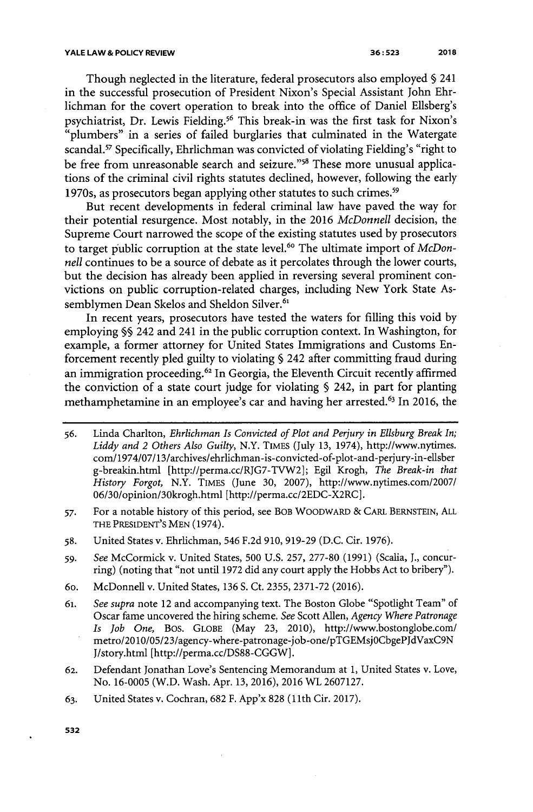Though neglected in the literature, federal prosecutors also employed **§** 241 in the successful prosecution of President Nixon's Special Assistant John Ehrlichman for the covert operation to break into the office of Daniel Ellsberg's psychiatrist, Dr. Lewis Fielding.<sup>56</sup> This break-in was the first task for Nixon's "plumbers" in a series of failed burglaries that culminated in the Watergate scandal.<sup>57</sup> Specifically, Ehrlichman was convicted of violating Fielding's "right to be free from unreasonable search and seizure."<sup>58</sup> These more unusual applications of the criminal civil rights statutes declined, however, following the early 1970s, as prosecutors began applying other statutes to such crimes.<sup>59</sup>

But recent developments in federal criminal law have paved the way for their potential resurgence. Most notably, in the **2016** *McDonnell* decision, the Supreme Court narrowed the scope of the existing statutes used **by** prosecutors to target public corruption at the state level.<sup>60</sup> The ultimate import of McDon*nell* continues to be a source of debate as it percolates through the lower courts, but the decision has already been applied in reversing several prominent convictions on public corruption-related charges, including New York State Assemblymen Dean Skelos and Sheldon Silver.<sup>61</sup>

In recent years, prosecutors have tested the waters for filling this void **by** employing **§§** 242 and 241 in the public corruption context. In Washington, for example, a former attorney for United States Immigrations and Customs Enforcement recently pled guilty to violating **§** 242 after committing fraud during an immigration proceeding.<sup>62</sup> In Georgia, the Eleventh Circuit recently affirmed the conviction of a state court judge for violating **§** 242, in part for planting methamphetamine in an employee's car and having her arrested.<sup>6</sup> 3 In **2016,** the

- *56.* Linda Charlton, *Ehrlichman Is Convicted of Plot and Perjury in Ellsburg Break In; Liddy and 2 Others Also Guilty,* N.Y. TIMES (July **13,** 1974), http://www.nytimes. com/1974/07/13/archives/ehrlichman-is-convicted-of-plot-and-perjury-in-ellsber g-breakin.html [http://perma.cc/RJG7-TVW2]; Egil Krogh, *The Break-in that History Forgot,* N.Y. TIMES (June **30, 2007),** http://www.nytimes.com/2007/ 06/30/opinion/30krogh.html [http://perma.cc/2EDC-X2RC].
- *57.* For a notable history of this period, see BOB WOODWARD **&** CARL BERNSTEIN, **ALL** THE **PRESIDENT'S MEN** (1974).
- **58.** United States v. Ehrlichman, 546 **F.2d 910, 919-29 (D.C.** Cir. **1976).**
- *59. See* McCormick v. United States, **500 U.S. 257, 277-80 (1991)** (Scalia, **J.,** concurring) (noting that "not until **1972** did any court apply the Hobbs Act to bribery").
- 60. McDonnell v. United States, **136 S.** Ct. **2355, 2371-72 (2016).**
- *61. See supra* note 12 and accompanying text. The Boston Globe "Spotlight Team" of Oscar fame uncovered the hiring scheme. *See* Scott Allen, *Agency Where Patronage Is Job One,* Bos. **GLOBE** (May **23,** 2010), http://www.bostonglobe.com/ metro/2010/05/23/agency-where-patronage-job-one/pTGEMsjOCbgePJdVaxC9N J/story.html [http://perma.cc/DS88-CGGW].
- **62.** Defendant Jonathan Love's Sentencing Memorandum at **1,** United States v. Love, No. **16-0005** (W.D. Wash. Apr. **13, 2016), 2016** WL **2607127.**
- **63.** United States v. Cochran, **682** F. App'x **828 (11th** Cir. **2017).**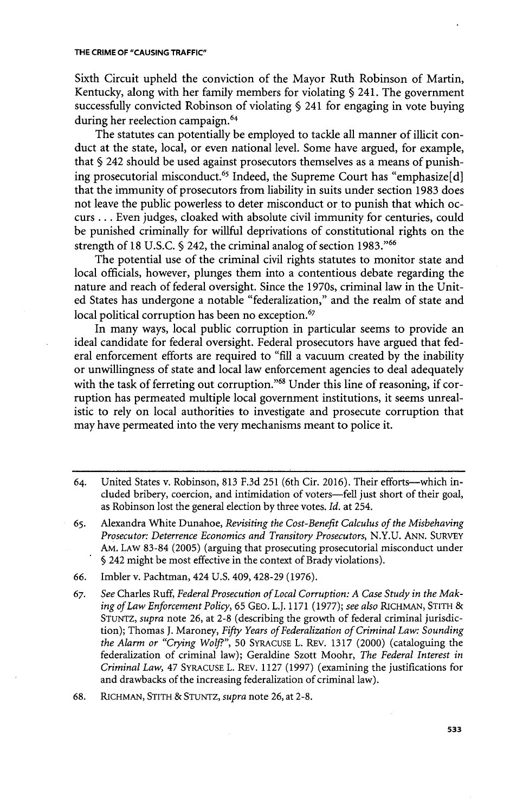Sixth Circuit upheld the conviction of the Mayor Ruth Robinson of Martin, Kentucky, along with her family members for violating **§** 241. The government successfully convicted Robinson of violating **§** 241 for engaging in vote buying during her reelection campaign.<sup>64</sup>

The statutes can potentially be employed to tackle all manner of illicit conduct at the state, local, or even national level. Some have argued, for example, that **§** 242 should be used against prosecutors themselves as a means of punishing prosecutorial misconduct.<sup>65</sup> Indeed, the Supreme Court has "emphasize[d] that the immunity of prosecutors from liability in suits under section **1983** does not leave the public powerless to deter misconduct or to punish that which occurs **.** . **.** Even judges, cloaked with absolute civil immunity for centuries, could be punished criminally for willful deprivations of constitutional rights on the strength of **18 U.S.C. §** 242, the criminal analog of section **1983."6**

The potential use of the criminal civil rights statutes to monitor state and local officials, however, plunges them into a contentious debate regarding the nature and reach of federal oversight. Since the 1970s, criminal law in the United States has undergone a notable "federalization," and the realm of state and local political corruption has been no exception.<sup>67</sup>

In many ways, local public corruption in particular seems to provide an ideal candidate for federal oversight. Federal prosecutors have argued that federal enforcement efforts are required to **"fill** a vacuum created **by** the inability or unwillingness of state and local law enforcement agencies to deal adequately with the task of ferreting out corruption."<sup>68</sup> Under this line of reasoning, if corruption has permeated multiple local government institutions, it seems unrealistic to rely on local authorities to investigate and prosecute corruption that may have permeated into the very mechanisms meant to police it.

- *65.* Alexandra White Dunahoe, *Revisiting the Cost-Benefit Calculus of the Misbehaving Prosecutor: Deterrence Economics and Transitory Prosecutors,* **N.Y.U. ANN.** SURVEY AM. LAW **83-84 (2005)** (arguing that prosecuting prosecutorial misconduct under **§** 242 might be most effective in the context of Brady violations).
- *66.* Imbler v. Pachtman, 424 **U.S.** 409, 428-29 **(1976).**
- **67.** *See* Charles Ruff, *Federal Prosecution ofLocal Corruption: A Case Study in the Making of Law Enforcement Policy,* **65 GEO.** L.J. **1171 (1977);** *see also* RICHMAN, STITH **STUNTZ,** *supra* note **26,** at **2-8** (describing the growth of federal criminal jurisdiction); Thomas **J.** Maroney, *Fifty Years of Federalization of Criminal Law: Sounding the Alarm or "Crying Wolf",* **50 SYRACUSE** L. REV. **1317** (2000) (cataloguing the federalization of criminal law); Geraldine Szott Moohr, *The Federal Interest in Criminal Law,* 47 **SYRACUSE** L. REV. **1127 (1997)** (examining the justifications for and drawbacks of the increasing federalization of criminal law).

**68.** RICHMAN, STITH **& STUNTZ,** *supra* note **26,** at **2-8.**

<sup>64.</sup> United States v. Robinson, **813 F.3d 251** (6th Cir. **2016).** Their efforts-which included bribery, coercion, and intimidation of voters-fell just short of their goal, as Robinson lost the general election **by** three votes. *Id.* at 254.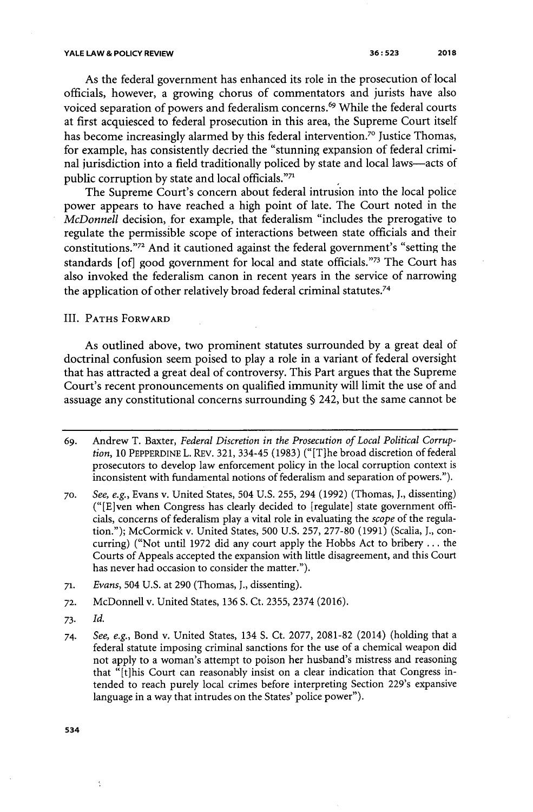#### **YALE LAW & POLICY REVIEW**

**36: 523** 2018

As the federal government has enhanced its role in the prosecution of local officials, however, a growing chorus of commentators and jurists have also voiced separation of powers and federalism concerns.<sup>69</sup> While the federal courts at first acquiesced to federal prosecution in this area, the Supreme Court itself has become increasingly alarmed by this federal intervention.<sup>70</sup> Justice Thomas, for example, has consistently decried the "stunning expansion of federal criminal jurisdiction into a field traditionally policed **by** state and local laws-acts of public corruption by state and local officials."71

The Supreme Court's concern about federal intrusion into the local police power appears to have reached a high point of late. The Court noted in the *McDonnell* decision, for example, that federalism "includes the prerogative to regulate the permissible scope of interactions between state officials and their constitutions."<sup>72</sup> And it cautioned against the federal government's "setting the standards [of] good government for local and state officials."<sup>73</sup> The Court has also invoked the federalism canon in recent years in the service of narrowing the application of other relatively broad federal criminal statutes.<sup>74</sup>

III. PATHS FORWARD

As outlined above, two prominent statutes surrounded **by** a great deal of doctrinal confusion seem poised to play a role in a variant of federal oversight that has attracted a great deal of controversy. This Part argues that the Supreme Court's recent pronouncements on qualified immunity will limit the use of and assuage any constitutional concerns surrounding **§** 242, but the same cannot be

**73.** *Id.*

ķ

**<sup>69.</sup>** Andrew T. Baxter, *Federal Discretion in the Prosecution of Local Political Corruption,* **10** PEPPERDINE L. REv. **321,** 334-45 **(1983)** ("[T]he broad discretion of federal prosecutors to develop law enforcement policy in the local corruption context is inconsistent with fundamental notions of federalism and separation of powers.").

**<sup>70.</sup>** *See, e.g.,* Evans v. United States, 504 **U.S. 255,** 294 **(1992)** (Thomas, **J.,** dissenting) ("[E]ven when Congress has clearly decided to [regulate] state government officials, concerns of federalism play a vital role in evaluating the *scope* of the regulation."); McCormick v. United States, **500 U.S. 257, 277-80 (1991)** (Scalia, **J.,** concurring) ("Not until **1972** did any court apply the Hobbs Act to bribery **...** the Courts of Appeals accepted the expansion with little disagreement, and this Court has never had occasion to consider the matter.").

**<sup>71.</sup>** *Evans,* 504 **U.S.** at **290** (Thomas, **J.,** dissenting).

**<sup>72.</sup>** McDonnell v. United States, **136 S.** Ct. **2355,** 2374 **(2016).**

*<sup>74.</sup> See, e.g.,* Bond v. United States, 134 **S.** Ct. **2077, 2081-82** (2014) (holding that a federal statute imposing criminal sanctions for the use of a chemical weapon did not apply to a woman's attempt to poison her husband's mistress and reasoning that "[t]his Court can reasonably insist on a clear indication that Congress intended to reach purely local crimes before interpreting Section 229's expansive language in a way that intrudes on the States' police power").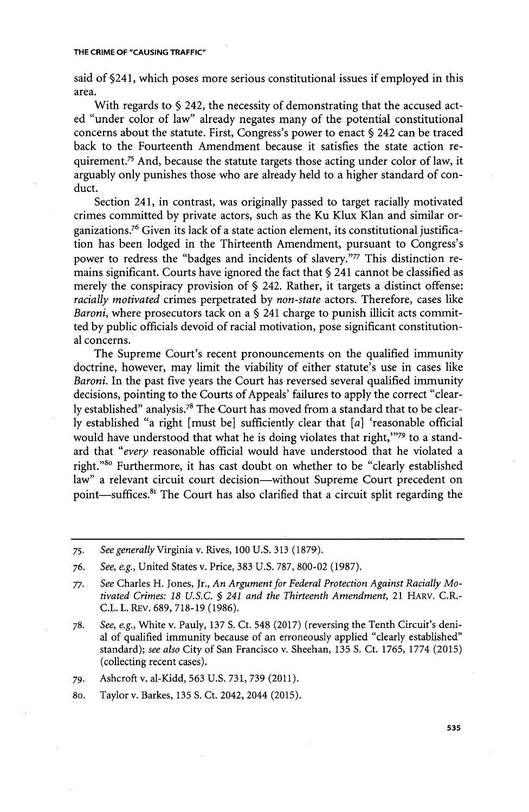said of §241, which poses more serious constitutional issues if employed in this area.

With regards to **§** 242, the necessity of demonstrating that the accused acted "under color of law" already negates many of the potential constitutional concerns about the statute. First, Congress's power to enact **§** 242 can be traced back to the Fourteenth Amendment because it satisfies the state action requirement.<sup>75</sup> And, because the statute targets those acting under color of law, it arguably only punishes those who are already held to a higher standard of conduct.

Section 241, in contrast, was originally passed to target racially motivated crimes committed **by** private actors, such as the Ku Klux Klan and similar organizations.<sup>76</sup> Given its lack of a state action element, its constitutional justification has been lodged in the Thirteenth Amendment, pursuant to Congress's power to redress the "badges and incidents of slavery."<sup>77</sup> This distinction remains significant. Courts have ignored the fact that **§** 241 cannot be classified as merely the conspiracy provision of **§** 242. Rather, it targets a distinct offense: *racially motivated* crimes perpetrated **by** *non-state* actors. Therefore, cases like *Baroni,* where prosecutors tack on a **§** 241 charge to punish illicit acts committed **by** public officials devoid of racial motivation, pose significant constitutional concerns.

The Supreme Court's recent pronouncements on the qualified immunity doctrine, however, may limit the viability of either statute's use in cases like *Baroni.* In the past five years the Court has reversed several qualified immunity decisions, pointing to the Courts of Appeals' failures to apply the correct "clearly established" analysis.<sup>78</sup> The Court has moved from a standard that to be clear**ly** established "a right [must be] sufficiently clear that *[a]* 'reasonable official would have understood that what he is doing violates that right,"79 to a standard that *"every* reasonable official would have understood that he violated a right."<sup>80</sup> Furthermore, it has cast doubt on whether to be "clearly established law" a relevant circuit court decision-without Supreme Court precedent on point—suffices.<sup>81</sup> The Court has also clarified that a circuit split regarding the

- **78.** *See, e.g.,* White v. Pauly, **137 S.** Ct. 548 **(2017)** (reversing the Tenth Circuit's denial of qualified immunity because of an erroneously applied "clearly established" standard); *see also* City of San Francisco v. Sheehan, **135 S.** Ct. **1765, 1774 (2015)** (collecting recent cases).
- *79.* Ashcroft v. al-Kidd, **563 U.S. 731, 739** (2011).
- 8o. Taylor v. Barkes, **135 S.** Ct. 2042, 2044 **(2015).**

**<sup>75.</sup>** *See generally* Virginia v. Rives, **100 U.S. 313 (1879).**

*<sup>76.</sup> See, e.g.,* United States v. Price, **383 U.S. 787, 800-02 (1987).**

*<sup>77.</sup> See* Charles H. Jones, Jr., *An Argument for Federal Protection Against Racially Motivated Crimes: 18 U.S.C. § 241 and the Thirteenth Amendment,* 21 HARV. C.R.- **C.L.** L. REV. **689, 718-19 (1986).**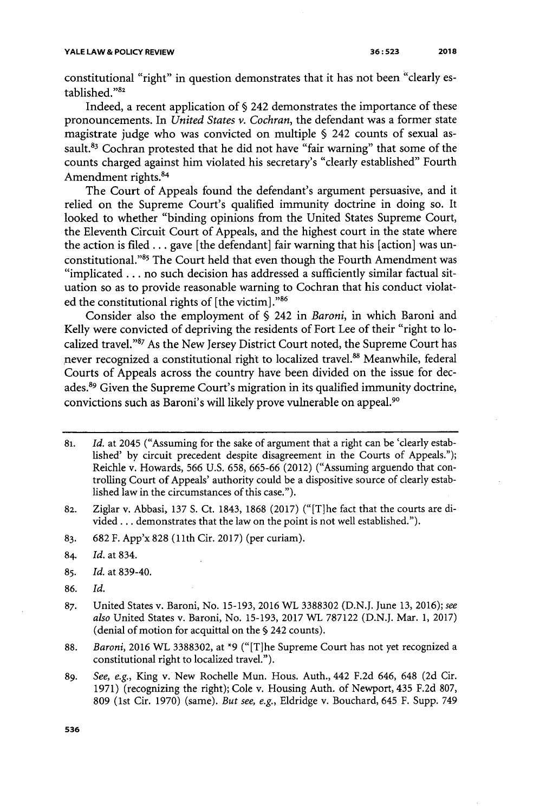constitutional "right" in question demonstrates that it has not been "clearly established."<sup>82</sup>

Indeed, a recent application of **§** 242 demonstrates the importance of these pronouncements. In *United States v. Cochran,* the defendant was a former state magistrate **judge** who was convicted on multiple **§** 242 counts of sexual assault.<sup>83</sup> Cochran protested that he did not have "fair warning" that some of the counts charged against him violated his secretary's "clearly established" Fourth Amendment rights.<sup>84</sup>

The Court of Appeals found the defendant's argument persuasive, and it relied on the Supreme Court's qualified immunity doctrine in doing so. It looked to whether "binding opinions from the United States Supreme Court, the Eleventh Circuit Court of Appeals, and the highest court in the state where the action is filed **...** gave [the defendant] fair warning that his [action] was unconstitutional."<sup>85</sup> The Court held that even though the Fourth Amendment was "implicated **. . .** no such decision has addressed a sufficiently similar factual situation so as to provide reasonable warning to Cochran that his conduct violated the constitutional rights of [the victim]."86

Consider also the employment of **§** 242 in *Baroni,* in which Baroni and Kelly were convicted of depriving the residents of Fort Lee of their "right to localized travel."<sup>87</sup> As the New Jersey District Court noted, the Supreme Court has never recognized a constitutional right to localized travel.<sup>88</sup> Meanwhile, federal Courts of Appeals across the country have been divided on the issue for decades.<sup>89</sup> Given the Supreme Court's migration in its qualified immunity doctrine, convictions such as Baroni's will **likely** prove vulnerable on appeal. <sup>9</sup><sup>0</sup>

- **83. 682** F. App'x **828 (11th** Cir. **2017)** (per curiam).
- 84. *Id.* at 834.
- **85.** *Id.* at **839-40.**
- **86.** *Id.*
- **87.** United States v. Baroni, No. **15-193, 2016** WL **3388302 (D.N.J.** June **13, 2016);** *see also* United States v. Baroni, No. **15-193, 2017** WL **787122 (D.N.J.** Mar. **1, 2017)** (denial of motion for acquittal on the **§** 242 counts).
- **88.** *Baroni, 2016 WL* **3388302,** at **\*9** ("[Tlhe Supreme Court has not yet recognized a constitutional right to localized travel.").
- **89.** *See, e.g.,* King v. New Rochelle Mun. Hous. Auth., 442 **F.2d** 646, 648 **(2d** Cir. **1971)** (recognizing the right); Cole v. Housing Auth. of Newport, 435 **F.2d 807, 809** (1st Cir. **1970)** (same). *But see, e.g.,* Eldridge v. Bouchard, 645 F. Supp. 749

<sup>81.</sup> *Id.* at 2045 ("Assuming for the sake of argument that a right can be 'clearly established' **by** circuit precedent despite disagreement in the Courts of Appeals."); Reichle v. Howards, **566 U.S. 658,** *665-66* (2012) ("Assuming arguendo that controlling Court of Appeals' authority could be a dispositive source of clearly established law in the circumstances of this case.").

**<sup>82.</sup>** Ziglar v. Abbasi, **137 S.** Ct. 1843, **1868 (2017)** ("[Tlhe fact that the courts are divided **...** demonstrates that the law on the point is not well established.").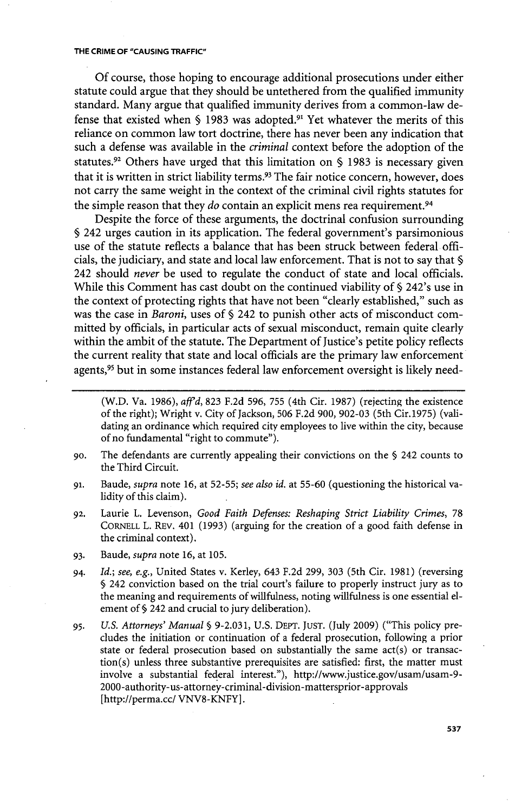**Of** course, those hoping to encourage additional prosecutions under either statute could argue that they should be untethered from the qualified immunity standard. Many argue that qualified immunity derives from a common-law defense that existed when § 1983 was adopted.<sup>91</sup> Yet whatever the merits of this reliance on common law tort doctrine, there has never been any indication that such a defense was available in the *criminal* context before the adoption of the statutes.<sup>92</sup>Others have urged that this limitation on **§ 1983** is necessary given that it is written in strict liability terms.<sup>93</sup> The fair notice concern, however, does not carry the same weight in the context of the criminal civil rights statutes for the simple reason that they *do* contain an explicit mens rea requirement.<sup>94</sup>

Despite the force of these arguments, the doctrinal confusion surrounding **§** 242 urges caution in its application. The federal government's parsimonious use of the statute reflects a balance that has been struck between federal officials, the judiciary, and state and local law enforcement. That is not to say that **§** 242 should *never* **be** used to regulate the conduct of state and local officials. While this Comment has cast doubt on the continued viability of **§** 242's use in the context of protecting rights that have not been "clearly established," such as was the case in *Baroni,* uses of **§** 242 to punish other acts of misconduct committed **by** officials, in particular acts of sexual misconduct, remain quite clearly within the ambit of the statute. The Department of Justice's petite policy reflects the current reality that state and local officials are the primary law enforcement agents,<sup>95</sup> but in some instances federal law enforcement oversight is likely need-

- (W.D. Va. **1986),** *aff'd,* **823 F.2d 596, 755** (4th Cir. **1987)** (rejecting the existence of the right); Wright v. City of Jackson, **506 F.2d 900, 902-03** (5th Cir. **1975)** (validating an ordinance which required city employees to live within the city, because of no fundamental "right to commute").
- **go.** The defendants are currently appealing their convictions on the **§** 242 counts to the Third Circuit.
- **91.** Baude, *supra* note **16,** at **52-55;** *see also id.* at **55-60** (questioning the historical validity of this claim).
- **92.** Laurie L. Levenson, *Good Faith Defenses: Reshaping Strict Liability Crimes, 78* CORNELL L. REv. 401 **(1993)** (arguing for the creation of a good faith defense **in** the criminal context).
- **93.** Baude, *supra* note **16,** at **105.**
- 94. *Id.; see. e.g.,* United States v. Kerley, 643 **F.2d 299, 303** (5th Cir. **1981)** (reversing **§** 242 conviction based on the trial court's failure to properly instruct jury as to the meaning and requirements of willfulness, noting willfulness is one essential element of **§** 242 and crucial to jury deliberation).
- *95. U.S. Attorneys' Manual §* **9-2.031, U.S.** DEPT. **JUST.** (July **2009)** ("This policy precludes the initiation or continuation of a federal prosecution, following a prior state or federal prosecution based on substantially the same act(s) or transaction(s) unless three substantive prerequisites are satisfied: first, the matter must involve a substantial federal interest."), http://www.justice.gov/usam/usam-9- 2000-authority-us-attorney-criminal-division-mattersprior-approvals [http://perma.cc/ VNV8-KNFY].